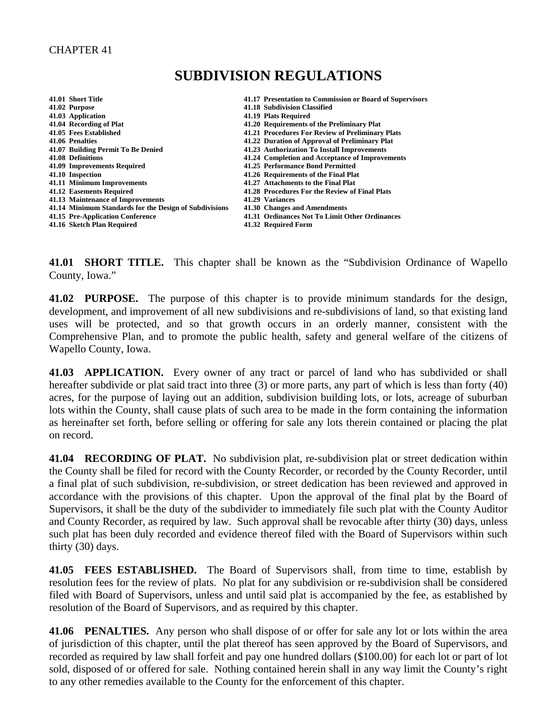#### CHAPTER 41

# **SUBDIVISION REGULATIONS**

| 41.01 Short Title                                      | 41.17 Presentation to Commission or Board of Supervisors |
|--------------------------------------------------------|----------------------------------------------------------|
| 41.02 Purpose                                          | 41.18 Subdivision Classified                             |
| 41.03 Application                                      | 41.19 Plats Required                                     |
| 41.04 Recording of Plat                                | 41.20 Requirements of the Preliminary Plat               |
| 41.05 Fees Established                                 | 41.21 Procedures For Review of Preliminary Plats         |
| 41.06 Penalties                                        | 41.22 Duration of Approval of Preliminary Plat           |
| 41.07 Building Permit To Be Denied                     | 41.23 Authorization To Install Improvements              |
| 41.08 Definitions                                      | 41.24 Completion and Acceptance of Improvements          |
| 41.09 Improvements Required                            | 41.25 Performance Bond Permitted                         |
| 41.10 Inspection                                       | 41.26 Requirements of the Final Plat                     |
| 41.11 Minimum Improvements                             | 41.27 Attachments to the Final Plat                      |
| 41.12 Easements Required                               | 41.28 Procedures For the Review of Final Plats           |
| 41.13 Maintenance of Improvements                      | 41.29 Variances                                          |
| 41.14 Minimum Standards for the Design of Subdivisions | 41.30 Changes and Amendments                             |
| 41.15 Pre-Application Conference                       | 41.31 Ordinances Not To Limit Other Ordinances           |
| 41.16 Sketch Plan Required                             | 41.32 Required Form                                      |
|                                                        |                                                          |

**41.01 SHORT TITLE.** This chapter shall be known as the "Subdivision Ordinance of Wapello County, Iowa."

**41.02 PURPOSE.** The purpose of this chapter is to provide minimum standards for the design, development, and improvement of all new subdivisions and re-subdivisions of land, so that existing land uses will be protected, and so that growth occurs in an orderly manner, consistent with the Comprehensive Plan, and to promote the public health, safety and general welfare of the citizens of Wapello County, Iowa.

**41.03 APPLICATION.** Every owner of any tract or parcel of land who has subdivided or shall hereafter subdivide or plat said tract into three (3) or more parts, any part of which is less than forty (40) acres, for the purpose of laying out an addition, subdivision building lots, or lots, acreage of suburban lots within the County, shall cause plats of such area to be made in the form containing the information as hereinafter set forth, before selling or offering for sale any lots therein contained or placing the plat on record.

**41.04 RECORDING OF PLAT.** No subdivision plat, re-subdivision plat or street dedication within the County shall be filed for record with the County Recorder, or recorded by the County Recorder, until a final plat of such subdivision, re-subdivision, or street dedication has been reviewed and approved in accordance with the provisions of this chapter. Upon the approval of the final plat by the Board of Supervisors, it shall be the duty of the subdivider to immediately file such plat with the County Auditor and County Recorder, as required by law. Such approval shall be revocable after thirty (30) days, unless such plat has been duly recorded and evidence thereof filed with the Board of Supervisors within such thirty (30) days.

**41.05 FEES ESTABLISHED.** The Board of Supervisors shall, from time to time, establish by resolution fees for the review of plats. No plat for any subdivision or re-subdivision shall be considered filed with Board of Supervisors, unless and until said plat is accompanied by the fee, as established by resolution of the Board of Supervisors, and as required by this chapter.

**41.06 PENALTIES.** Any person who shall dispose of or offer for sale any lot or lots within the area of jurisdiction of this chapter, until the plat thereof has seen approved by the Board of Supervisors, and recorded as required by law shall forfeit and pay one hundred dollars (\$100.00) for each lot or part of lot sold, disposed of or offered for sale. Nothing contained herein shall in any way limit the County's right to any other remedies available to the County for the enforcement of this chapter.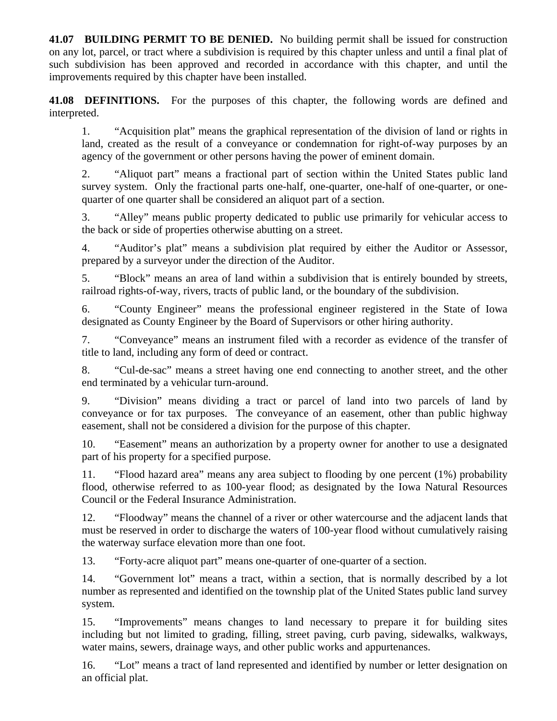**41.07 BUILDING PERMIT TO BE DENIED.** No building permit shall be issued for construction on any lot, parcel, or tract where a subdivision is required by this chapter unless and until a final plat of such subdivision has been approved and recorded in accordance with this chapter, and until the improvements required by this chapter have been installed.

**41.08 DEFINITIONS.** For the purposes of this chapter, the following words are defined and interpreted.

1. "Acquisition plat" means the graphical representation of the division of land or rights in land, created as the result of a conveyance or condemnation for right-of-way purposes by an agency of the government or other persons having the power of eminent domain.

2. "Aliquot part" means a fractional part of section within the United States public land survey system. Only the fractional parts one-half, one-quarter, one-half of one-quarter, or onequarter of one quarter shall be considered an aliquot part of a section.

3. "Alley" means public property dedicated to public use primarily for vehicular access to the back or side of properties otherwise abutting on a street.

4. "Auditor's plat" means a subdivision plat required by either the Auditor or Assessor, prepared by a surveyor under the direction of the Auditor.

5. "Block" means an area of land within a subdivision that is entirely bounded by streets, railroad rights-of-way, rivers, tracts of public land, or the boundary of the subdivision.

6. "County Engineer" means the professional engineer registered in the State of Iowa designated as County Engineer by the Board of Supervisors or other hiring authority.

7. "Conveyance" means an instrument filed with a recorder as evidence of the transfer of title to land, including any form of deed or contract.

8. "Cul-de-sac" means a street having one end connecting to another street, and the other end terminated by a vehicular turn-around.

9. "Division" means dividing a tract or parcel of land into two parcels of land by conveyance or for tax purposes. The conveyance of an easement, other than public highway easement, shall not be considered a division for the purpose of this chapter.

10. "Easement" means an authorization by a property owner for another to use a designated part of his property for a specified purpose.

11. "Flood hazard area" means any area subject to flooding by one percent (1%) probability flood, otherwise referred to as 100-year flood; as designated by the Iowa Natural Resources Council or the Federal Insurance Administration.

12. "Floodway" means the channel of a river or other watercourse and the adjacent lands that must be reserved in order to discharge the waters of 100-year flood without cumulatively raising the waterway surface elevation more than one foot.

13. "Forty-acre aliquot part" means one-quarter of one-quarter of a section.

14. "Government lot" means a tract, within a section, that is normally described by a lot number as represented and identified on the township plat of the United States public land survey system.

15. "Improvements" means changes to land necessary to prepare it for building sites including but not limited to grading, filling, street paving, curb paving, sidewalks, walkways, water mains, sewers, drainage ways, and other public works and appurtenances.

16. "Lot" means a tract of land represented and identified by number or letter designation on an official plat.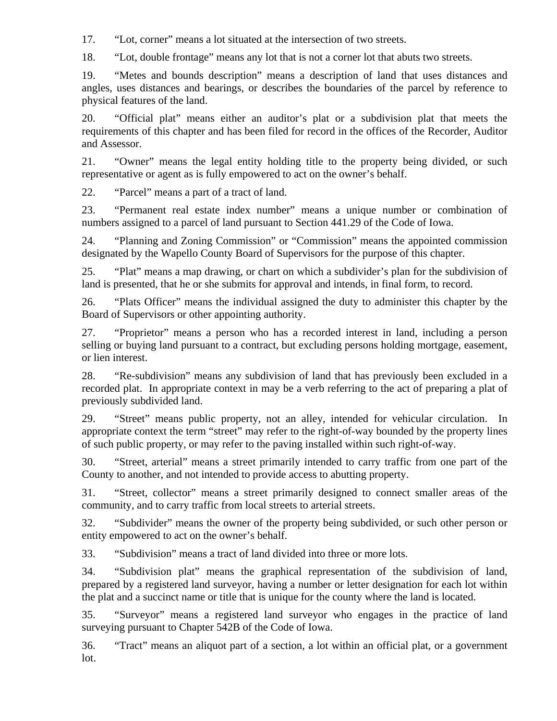17. "Lot, corner" means a lot situated at the intersection of two streets.

18. "Lot, double frontage" means any lot that is not a corner lot that abuts two streets.

19. "Metes and bounds description" means a description of land that uses distances and angles, uses distances and bearings, or describes the boundaries of the parcel by reference to physical features of the land.

20. "Official plat" means either an auditor's plat or a subdivision plat that meets the requirements of this chapter and has been filed for record in the offices of the Recorder, Auditor and Assessor.

21. "Owner" means the legal entity holding title to the property being divided, or such representative or agent as is fully empowered to act on the owner's behalf.

22. "Parcel" means a part of a tract of land.

23. "Permanent real estate index number" means a unique number or combination of numbers assigned to a parcel of land pursuant to Section 441.29 of the Code of Iowa.

24. "Planning and Zoning Commission" or "Commission" means the appointed commission designated by the Wapello County Board of Supervisors for the purpose of this chapter.

25. "Plat" means a map drawing, or chart on which a subdivider's plan for the subdivision of land is presented, that he or she submits for approval and intends, in final form, to record.

26. "Plats Officer" means the individual assigned the duty to administer this chapter by the Board of Supervisors or other appointing authority.

27. "Proprietor" means a person who has a recorded interest in land, including a person selling or buying land pursuant to a contract, but excluding persons holding mortgage, easement, or lien interest.

28. "Re-subdivision" means any subdivision of land that has previously been excluded in a recorded plat. In appropriate context in may be a verb referring to the act of preparing a plat of previously subdivided land.

29. "Street" means public property, not an alley, intended for vehicular circulation. In appropriate context the term "street" may refer to the right-of-way bounded by the property lines of such public property, or may refer to the paving installed within such right-of-way.

30. "Street, arterial" means a street primarily intended to carry traffic from one part of the County to another, and not intended to provide access to abutting property.

31. "Street, collector" means a street primarily designed to connect smaller areas of the community, and to carry traffic from local streets to arterial streets.

32. "Subdivider" means the owner of the property being subdivided, or such other person or entity empowered to act on the owner's behalf.

33. "Subdivision" means a tract of land divided into three or more lots.

34. "Subdivision plat" means the graphical representation of the subdivision of land, prepared by a registered land surveyor, having a number or letter designation for each lot within the plat and a succinct name or title that is unique for the county where the land is located.

35. "Surveyor" means a registered land surveyor who engages in the practice of land surveying pursuant to Chapter 542B of the Code of Iowa.

36. "Tract" means an aliquot part of a section, a lot within an official plat, or a government lot.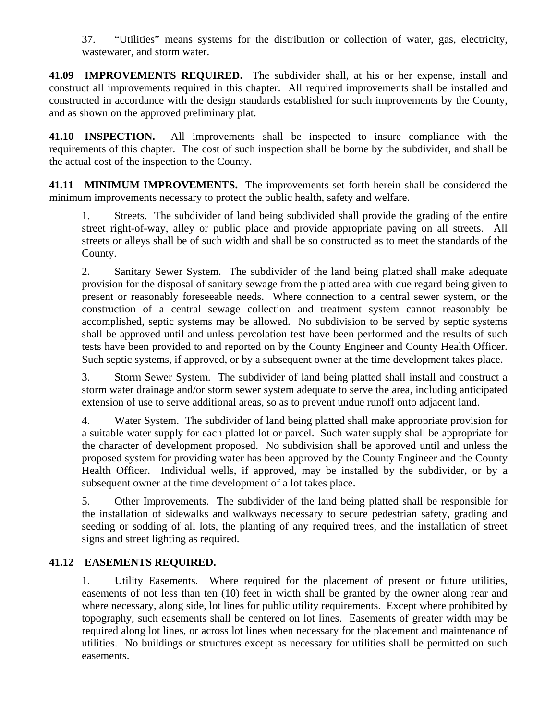37. "Utilities" means systems for the distribution or collection of water, gas, electricity, wastewater, and storm water.

**41.09 IMPROVEMENTS REQUIRED.** The subdivider shall, at his or her expense, install and construct all improvements required in this chapter. All required improvements shall be installed and constructed in accordance with the design standards established for such improvements by the County, and as shown on the approved preliminary plat.

**41.10 INSPECTION.** All improvements shall be inspected to insure compliance with the requirements of this chapter. The cost of such inspection shall be borne by the subdivider, and shall be the actual cost of the inspection to the County.

**41.11 MINIMUM IMPROVEMENTS.** The improvements set forth herein shall be considered the minimum improvements necessary to protect the public health, safety and welfare.

1. Streets. The subdivider of land being subdivided shall provide the grading of the entire street right-of-way, alley or public place and provide appropriate paving on all streets. All streets or alleys shall be of such width and shall be so constructed as to meet the standards of the County.

2. Sanitary Sewer System. The subdivider of the land being platted shall make adequate provision for the disposal of sanitary sewage from the platted area with due regard being given to present or reasonably foreseeable needs. Where connection to a central sewer system, or the construction of a central sewage collection and treatment system cannot reasonably be accomplished, septic systems may be allowed. No subdivision to be served by septic systems shall be approved until and unless percolation test have been performed and the results of such tests have been provided to and reported on by the County Engineer and County Health Officer. Such septic systems, if approved, or by a subsequent owner at the time development takes place.

3. Storm Sewer System. The subdivider of land being platted shall install and construct a storm water drainage and/or storm sewer system adequate to serve the area, including anticipated extension of use to serve additional areas, so as to prevent undue runoff onto adjacent land.

4. Water System. The subdivider of land being platted shall make appropriate provision for a suitable water supply for each platted lot or parcel. Such water supply shall be appropriate for the character of development proposed. No subdivision shall be approved until and unless the proposed system for providing water has been approved by the County Engineer and the County Health Officer. Individual wells, if approved, may be installed by the subdivider, or by a subsequent owner at the time development of a lot takes place.

5. Other Improvements. The subdivider of the land being platted shall be responsible for the installation of sidewalks and walkways necessary to secure pedestrian safety, grading and seeding or sodding of all lots, the planting of any required trees, and the installation of street signs and street lighting as required.

### **41.12 EASEMENTS REQUIRED.**

1. Utility Easements. Where required for the placement of present or future utilities, easements of not less than ten (10) feet in width shall be granted by the owner along rear and where necessary, along side, lot lines for public utility requirements. Except where prohibited by topography, such easements shall be centered on lot lines. Easements of greater width may be required along lot lines, or across lot lines when necessary for the placement and maintenance of utilities. No buildings or structures except as necessary for utilities shall be permitted on such easements.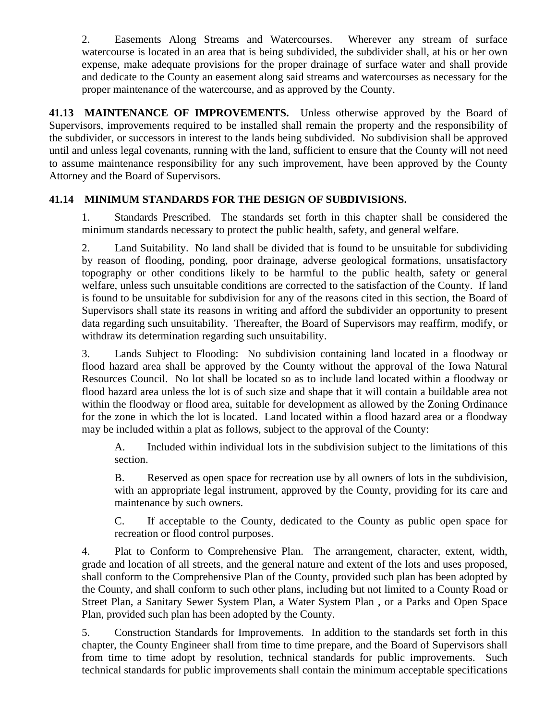2. Easements Along Streams and Watercourses. Wherever any stream of surface watercourse is located in an area that is being subdivided, the subdivider shall, at his or her own expense, make adequate provisions for the proper drainage of surface water and shall provide and dedicate to the County an easement along said streams and watercourses as necessary for the proper maintenance of the watercourse, and as approved by the County.

**41.13 MAINTENANCE OF IMPROVEMENTS.** Unless otherwise approved by the Board of Supervisors, improvements required to be installed shall remain the property and the responsibility of the subdivider, or successors in interest to the lands being subdivided. No subdivision shall be approved until and unless legal covenants, running with the land, sufficient to ensure that the County will not need to assume maintenance responsibility for any such improvement, have been approved by the County Attorney and the Board of Supervisors.

### **41.14 MINIMUM STANDARDS FOR THE DESIGN OF SUBDIVISIONS.**

1. Standards Prescribed. The standards set forth in this chapter shall be considered the minimum standards necessary to protect the public health, safety, and general welfare.

2. Land Suitability. No land shall be divided that is found to be unsuitable for subdividing by reason of flooding, ponding, poor drainage, adverse geological formations, unsatisfactory topography or other conditions likely to be harmful to the public health, safety or general welfare, unless such unsuitable conditions are corrected to the satisfaction of the County. If land is found to be unsuitable for subdivision for any of the reasons cited in this section, the Board of Supervisors shall state its reasons in writing and afford the subdivider an opportunity to present data regarding such unsuitability. Thereafter, the Board of Supervisors may reaffirm, modify, or withdraw its determination regarding such unsuitability.

3. Lands Subject to Flooding: No subdivision containing land located in a floodway or flood hazard area shall be approved by the County without the approval of the Iowa Natural Resources Council. No lot shall be located so as to include land located within a floodway or flood hazard area unless the lot is of such size and shape that it will contain a buildable area not within the floodway or flood area, suitable for development as allowed by the Zoning Ordinance for the zone in which the lot is located. Land located within a flood hazard area or a floodway may be included within a plat as follows, subject to the approval of the County:

A. Included within individual lots in the subdivision subject to the limitations of this section.

B. Reserved as open space for recreation use by all owners of lots in the subdivision, with an appropriate legal instrument, approved by the County, providing for its care and maintenance by such owners.

C. If acceptable to the County, dedicated to the County as public open space for recreation or flood control purposes.

4. Plat to Conform to Comprehensive Plan. The arrangement, character, extent, width, grade and location of all streets, and the general nature and extent of the lots and uses proposed, shall conform to the Comprehensive Plan of the County, provided such plan has been adopted by the County, and shall conform to such other plans, including but not limited to a County Road or Street Plan, a Sanitary Sewer System Plan, a Water System Plan , or a Parks and Open Space Plan, provided such plan has been adopted by the County.

5. Construction Standards for Improvements. In addition to the standards set forth in this chapter, the County Engineer shall from time to time prepare, and the Board of Supervisors shall from time to time adopt by resolution, technical standards for public improvements. Such technical standards for public improvements shall contain the minimum acceptable specifications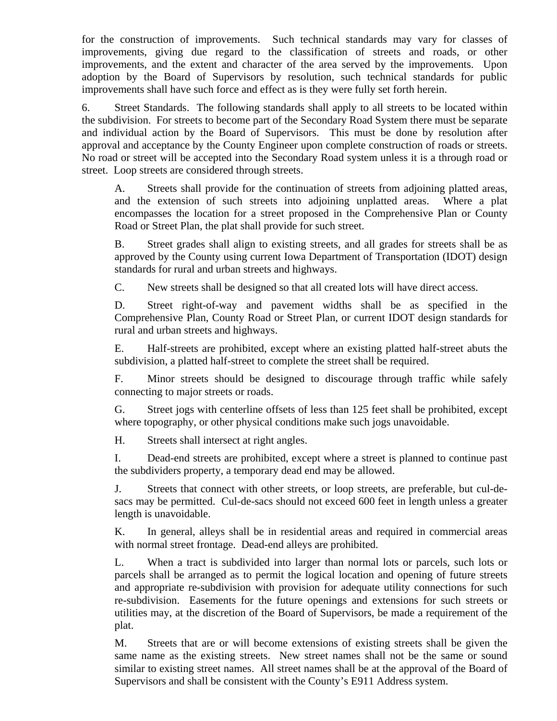for the construction of improvements. Such technical standards may vary for classes of improvements, giving due regard to the classification of streets and roads, or other improvements, and the extent and character of the area served by the improvements. Upon adoption by the Board of Supervisors by resolution, such technical standards for public improvements shall have such force and effect as is they were fully set forth herein.

6. Street Standards. The following standards shall apply to all streets to be located within the subdivision. For streets to become part of the Secondary Road System there must be separate and individual action by the Board of Supervisors. This must be done by resolution after approval and acceptance by the County Engineer upon complete construction of roads or streets. No road or street will be accepted into the Secondary Road system unless it is a through road or street. Loop streets are considered through streets.

A. Streets shall provide for the continuation of streets from adjoining platted areas, and the extension of such streets into adjoining unplatted areas. Where a plat encompasses the location for a street proposed in the Comprehensive Plan or County Road or Street Plan, the plat shall provide for such street.

B. Street grades shall align to existing streets, and all grades for streets shall be as approved by the County using current Iowa Department of Transportation (IDOT) design standards for rural and urban streets and highways.

C. New streets shall be designed so that all created lots will have direct access.

D. Street right-of-way and pavement widths shall be as specified in the Comprehensive Plan, County Road or Street Plan, or current IDOT design standards for rural and urban streets and highways.

E. Half-streets are prohibited, except where an existing platted half-street abuts the subdivision, a platted half-street to complete the street shall be required.

F. Minor streets should be designed to discourage through traffic while safely connecting to major streets or roads.

G. Street jogs with centerline offsets of less than 125 feet shall be prohibited, except where topography, or other physical conditions make such jogs unavoidable.

H. Streets shall intersect at right angles.

I. Dead-end streets are prohibited, except where a street is planned to continue past the subdividers property, a temporary dead end may be allowed.

J. Streets that connect with other streets, or loop streets, are preferable, but cul-desacs may be permitted. Cul-de-sacs should not exceed 600 feet in length unless a greater length is unavoidable.

K. In general, alleys shall be in residential areas and required in commercial areas with normal street frontage. Dead-end alleys are prohibited.

L. When a tract is subdivided into larger than normal lots or parcels, such lots or parcels shall be arranged as to permit the logical location and opening of future streets and appropriate re-subdivision with provision for adequate utility connections for such re-subdivision. Easements for the future openings and extensions for such streets or utilities may, at the discretion of the Board of Supervisors, be made a requirement of the plat.

M. Streets that are or will become extensions of existing streets shall be given the same name as the existing streets. New street names shall not be the same or sound similar to existing street names. All street names shall be at the approval of the Board of Supervisors and shall be consistent with the County's E911 Address system.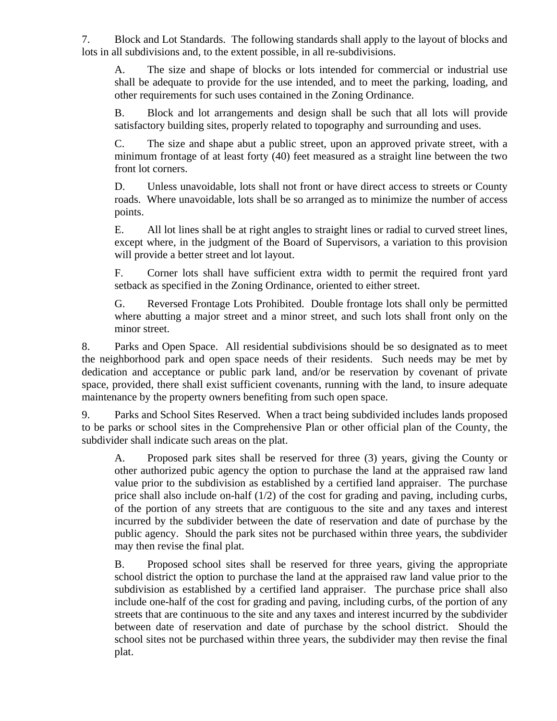7. Block and Lot Standards. The following standards shall apply to the layout of blocks and lots in all subdivisions and, to the extent possible, in all re-subdivisions.

A. The size and shape of blocks or lots intended for commercial or industrial use shall be adequate to provide for the use intended, and to meet the parking, loading, and other requirements for such uses contained in the Zoning Ordinance.

B. Block and lot arrangements and design shall be such that all lots will provide satisfactory building sites, properly related to topography and surrounding and uses.

C. The size and shape abut a public street, upon an approved private street, with a minimum frontage of at least forty (40) feet measured as a straight line between the two front lot corners.

D. Unless unavoidable, lots shall not front or have direct access to streets or County roads. Where unavoidable, lots shall be so arranged as to minimize the number of access points.

E. All lot lines shall be at right angles to straight lines or radial to curved street lines, except where, in the judgment of the Board of Supervisors, a variation to this provision will provide a better street and lot layout.

F. Corner lots shall have sufficient extra width to permit the required front yard setback as specified in the Zoning Ordinance, oriented to either street.

G. Reversed Frontage Lots Prohibited. Double frontage lots shall only be permitted where abutting a major street and a minor street, and such lots shall front only on the minor street.

8. Parks and Open Space. All residential subdivisions should be so designated as to meet the neighborhood park and open space needs of their residents. Such needs may be met by dedication and acceptance or public park land, and/or be reservation by covenant of private space, provided, there shall exist sufficient covenants, running with the land, to insure adequate maintenance by the property owners benefiting from such open space.

9. Parks and School Sites Reserved. When a tract being subdivided includes lands proposed to be parks or school sites in the Comprehensive Plan or other official plan of the County, the subdivider shall indicate such areas on the plat.

A. Proposed park sites shall be reserved for three (3) years, giving the County or other authorized pubic agency the option to purchase the land at the appraised raw land value prior to the subdivision as established by a certified land appraiser. The purchase price shall also include on-half (1/2) of the cost for grading and paving, including curbs, of the portion of any streets that are contiguous to the site and any taxes and interest incurred by the subdivider between the date of reservation and date of purchase by the public agency. Should the park sites not be purchased within three years, the subdivider may then revise the final plat.

B. Proposed school sites shall be reserved for three years, giving the appropriate school district the option to purchase the land at the appraised raw land value prior to the subdivision as established by a certified land appraiser. The purchase price shall also include one-half of the cost for grading and paving, including curbs, of the portion of any streets that are continuous to the site and any taxes and interest incurred by the subdivider between date of reservation and date of purchase by the school district. Should the school sites not be purchased within three years, the subdivider may then revise the final plat.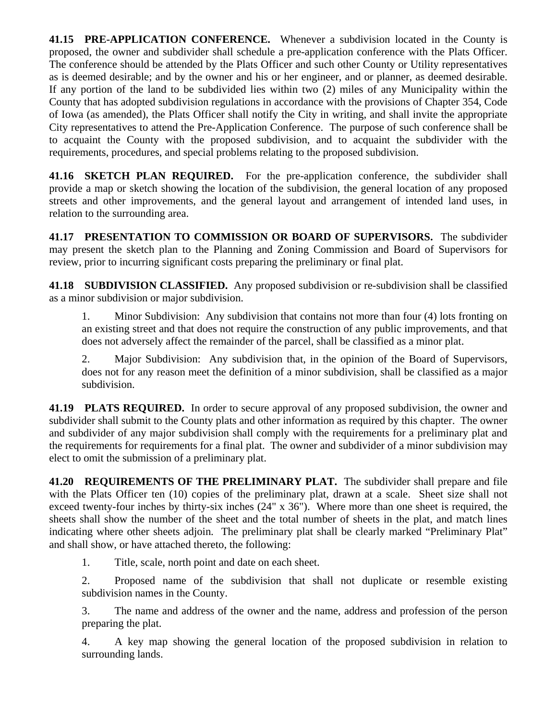**41.15 PRE-APPLICATION CONFERENCE.** Whenever a subdivision located in the County is proposed, the owner and subdivider shall schedule a pre-application conference with the Plats Officer. The conference should be attended by the Plats Officer and such other County or Utility representatives as is deemed desirable; and by the owner and his or her engineer, and or planner, as deemed desirable. If any portion of the land to be subdivided lies within two (2) miles of any Municipality within the County that has adopted subdivision regulations in accordance with the provisions of Chapter 354, Code of Iowa (as amended), the Plats Officer shall notify the City in writing, and shall invite the appropriate City representatives to attend the Pre-Application Conference. The purpose of such conference shall be to acquaint the County with the proposed subdivision, and to acquaint the subdivider with the requirements, procedures, and special problems relating to the proposed subdivision.

**41.16 SKETCH PLAN REQUIRED.** For the pre-application conference, the subdivider shall provide a map or sketch showing the location of the subdivision, the general location of any proposed streets and other improvements, and the general layout and arrangement of intended land uses, in relation to the surrounding area.

**41.17 PRESENTATION TO COMMISSION OR BOARD OF SUPERVISORS.** The subdivider may present the sketch plan to the Planning and Zoning Commission and Board of Supervisors for review, prior to incurring significant costs preparing the preliminary or final plat.

**41.18 SUBDIVISION CLASSIFIED.** Any proposed subdivision or re-subdivision shall be classified as a minor subdivision or major subdivision.

1. Minor Subdivision: Any subdivision that contains not more than four (4) lots fronting on an existing street and that does not require the construction of any public improvements, and that does not adversely affect the remainder of the parcel, shall be classified as a minor plat.

2. Major Subdivision: Any subdivision that, in the opinion of the Board of Supervisors, does not for any reason meet the definition of a minor subdivision, shall be classified as a major subdivision.

**41.19 PLATS REQUIRED.** In order to secure approval of any proposed subdivision, the owner and subdivider shall submit to the County plats and other information as required by this chapter. The owner and subdivider of any major subdivision shall comply with the requirements for a preliminary plat and the requirements for requirements for a final plat. The owner and subdivider of a minor subdivision may elect to omit the submission of a preliminary plat.

**41.20 REQUIREMENTS OF THE PRELIMINARY PLAT.** The subdivider shall prepare and file with the Plats Officer ten (10) copies of the preliminary plat, drawn at a scale. Sheet size shall not exceed twenty-four inches by thirty-six inches (24" x 36"). Where more than one sheet is required, the sheets shall show the number of the sheet and the total number of sheets in the plat, and match lines indicating where other sheets adjoin. The preliminary plat shall be clearly marked "Preliminary Plat" and shall show, or have attached thereto, the following:

1. Title, scale, north point and date on each sheet.

2. Proposed name of the subdivision that shall not duplicate or resemble existing subdivision names in the County.

3. The name and address of the owner and the name, address and profession of the person preparing the plat.

4. A key map showing the general location of the proposed subdivision in relation to surrounding lands.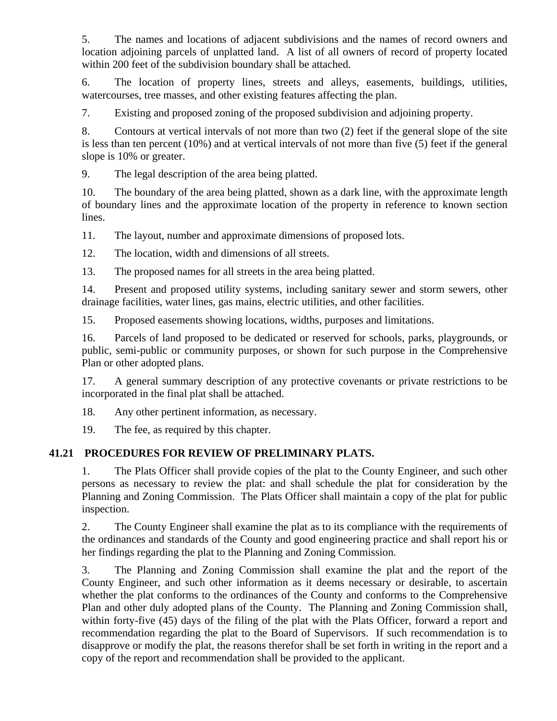5. The names and locations of adjacent subdivisions and the names of record owners and location adjoining parcels of unplatted land. A list of all owners of record of property located within 200 feet of the subdivision boundary shall be attached.

6. The location of property lines, streets and alleys, easements, buildings, utilities, watercourses, tree masses, and other existing features affecting the plan.

7. Existing and proposed zoning of the proposed subdivision and adjoining property.

8. Contours at vertical intervals of not more than two (2) feet if the general slope of the site is less than ten percent (10%) and at vertical intervals of not more than five (5) feet if the general slope is 10% or greater.

9. The legal description of the area being platted.

10. The boundary of the area being platted, shown as a dark line, with the approximate length of boundary lines and the approximate location of the property in reference to known section lines.

11. The layout, number and approximate dimensions of proposed lots.

12. The location, width and dimensions of all streets.

13. The proposed names for all streets in the area being platted.

14. Present and proposed utility systems, including sanitary sewer and storm sewers, other drainage facilities, water lines, gas mains, electric utilities, and other facilities.

15. Proposed easements showing locations, widths, purposes and limitations.

16. Parcels of land proposed to be dedicated or reserved for schools, parks, playgrounds, or public, semi-public or community purposes, or shown for such purpose in the Comprehensive Plan or other adopted plans.

17. A general summary description of any protective covenants or private restrictions to be incorporated in the final plat shall be attached.

18. Any other pertinent information, as necessary.

19. The fee, as required by this chapter.

## **41.21 PROCEDURES FOR REVIEW OF PRELIMINARY PLATS.**

1. The Plats Officer shall provide copies of the plat to the County Engineer, and such other persons as necessary to review the plat: and shall schedule the plat for consideration by the Planning and Zoning Commission. The Plats Officer shall maintain a copy of the plat for public inspection.

2. The County Engineer shall examine the plat as to its compliance with the requirements of the ordinances and standards of the County and good engineering practice and shall report his or her findings regarding the plat to the Planning and Zoning Commission.

3. The Planning and Zoning Commission shall examine the plat and the report of the County Engineer, and such other information as it deems necessary or desirable, to ascertain whether the plat conforms to the ordinances of the County and conforms to the Comprehensive Plan and other duly adopted plans of the County. The Planning and Zoning Commission shall, within forty-five (45) days of the filing of the plat with the Plats Officer, forward a report and recommendation regarding the plat to the Board of Supervisors. If such recommendation is to disapprove or modify the plat, the reasons therefor shall be set forth in writing in the report and a copy of the report and recommendation shall be provided to the applicant.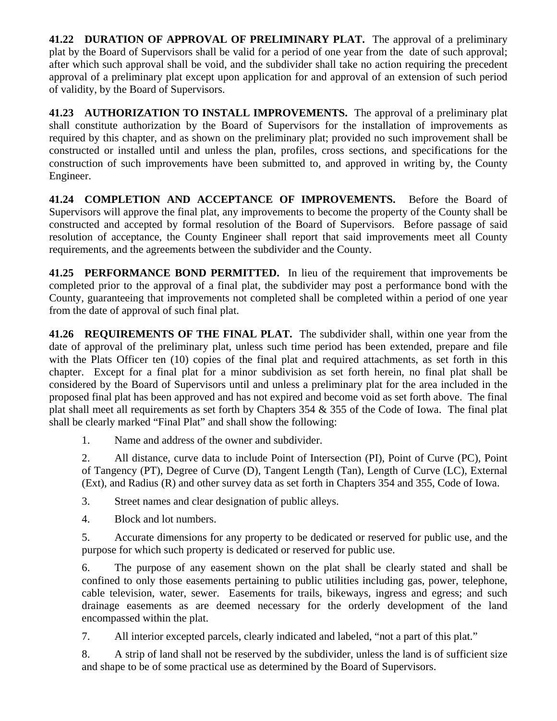**41.22 DURATION OF APPROVAL OF PRELIMINARY PLAT.** The approval of a preliminary plat by the Board of Supervisors shall be valid for a period of one year from the date of such approval; after which such approval shall be void, and the subdivider shall take no action requiring the precedent approval of a preliminary plat except upon application for and approval of an extension of such period of validity, by the Board of Supervisors.

**41.23 AUTHORIZATION TO INSTALL IMPROVEMENTS.** The approval of a preliminary plat shall constitute authorization by the Board of Supervisors for the installation of improvements as required by this chapter, and as shown on the preliminary plat; provided no such improvement shall be constructed or installed until and unless the plan, profiles, cross sections, and specifications for the construction of such improvements have been submitted to, and approved in writing by, the County Engineer.

**41.24 COMPLETION AND ACCEPTANCE OF IMPROVEMENTS.** Before the Board of Supervisors will approve the final plat, any improvements to become the property of the County shall be constructed and accepted by formal resolution of the Board of Supervisors. Before passage of said resolution of acceptance, the County Engineer shall report that said improvements meet all County requirements, and the agreements between the subdivider and the County.

**41.25 PERFORMANCE BOND PERMITTED.** In lieu of the requirement that improvements be completed prior to the approval of a final plat, the subdivider may post a performance bond with the County, guaranteeing that improvements not completed shall be completed within a period of one year from the date of approval of such final plat.

**41.26 REQUIREMENTS OF THE FINAL PLAT.** The subdivider shall, within one year from the date of approval of the preliminary plat, unless such time period has been extended, prepare and file with the Plats Officer ten (10) copies of the final plat and required attachments, as set forth in this chapter. Except for a final plat for a minor subdivision as set forth herein, no final plat shall be considered by the Board of Supervisors until and unless a preliminary plat for the area included in the proposed final plat has been approved and has not expired and become void as set forth above. The final plat shall meet all requirements as set forth by Chapters 354 & 355 of the Code of Iowa. The final plat shall be clearly marked "Final Plat" and shall show the following:

1. Name and address of the owner and subdivider.

2. All distance, curve data to include Point of Intersection (PI), Point of Curve (PC), Point of Tangency (PT), Degree of Curve (D), Tangent Length (Tan), Length of Curve (LC), External (Ext), and Radius (R) and other survey data as set forth in Chapters 354 and 355, Code of Iowa.

3. Street names and clear designation of public alleys.

4. Block and lot numbers.

5. Accurate dimensions for any property to be dedicated or reserved for public use, and the purpose for which such property is dedicated or reserved for public use.

6. The purpose of any easement shown on the plat shall be clearly stated and shall be confined to only those easements pertaining to public utilities including gas, power, telephone, cable television, water, sewer. Easements for trails, bikeways, ingress and egress; and such drainage easements as are deemed necessary for the orderly development of the land encompassed within the plat.

7. All interior excepted parcels, clearly indicated and labeled, "not a part of this plat."

8. A strip of land shall not be reserved by the subdivider, unless the land is of sufficient size and shape to be of some practical use as determined by the Board of Supervisors.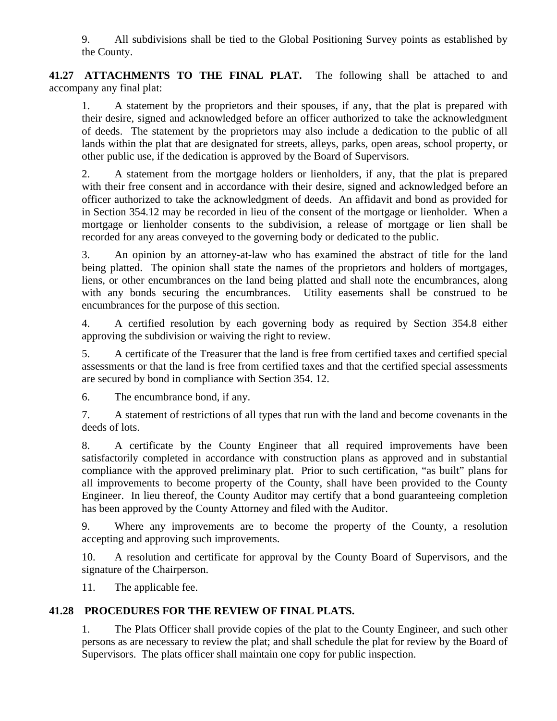9. All subdivisions shall be tied to the Global Positioning Survey points as established by the County.

**41.27 ATTACHMENTS TO THE FINAL PLAT.** The following shall be attached to and accompany any final plat:

1. A statement by the proprietors and their spouses, if any, that the plat is prepared with their desire, signed and acknowledged before an officer authorized to take the acknowledgment of deeds. The statement by the proprietors may also include a dedication to the public of all lands within the plat that are designated for streets, alleys, parks, open areas, school property, or other public use, if the dedication is approved by the Board of Supervisors.

2. A statement from the mortgage holders or lienholders, if any, that the plat is prepared with their free consent and in accordance with their desire, signed and acknowledged before an officer authorized to take the acknowledgment of deeds. An affidavit and bond as provided for in Section 354.12 may be recorded in lieu of the consent of the mortgage or lienholder. When a mortgage or lienholder consents to the subdivision, a release of mortgage or lien shall be recorded for any areas conveyed to the governing body or dedicated to the public.

3. An opinion by an attorney-at-law who has examined the abstract of title for the land being platted. The opinion shall state the names of the proprietors and holders of mortgages, liens, or other encumbrances on the land being platted and shall note the encumbrances, along with any bonds securing the encumbrances. Utility easements shall be construed to be encumbrances for the purpose of this section.

4. A certified resolution by each governing body as required by Section 354.8 either approving the subdivision or waiving the right to review.

5. A certificate of the Treasurer that the land is free from certified taxes and certified special assessments or that the land is free from certified taxes and that the certified special assessments are secured by bond in compliance with Section 354. 12.

6. The encumbrance bond, if any.

7. A statement of restrictions of all types that run with the land and become covenants in the deeds of lots.

8. A certificate by the County Engineer that all required improvements have been satisfactorily completed in accordance with construction plans as approved and in substantial compliance with the approved preliminary plat. Prior to such certification, "as built" plans for all improvements to become property of the County, shall have been provided to the County Engineer. In lieu thereof, the County Auditor may certify that a bond guaranteeing completion has been approved by the County Attorney and filed with the Auditor.

9. Where any improvements are to become the property of the County, a resolution accepting and approving such improvements.

10. A resolution and certificate for approval by the County Board of Supervisors, and the signature of the Chairperson.

11. The applicable fee.

### **41.28 PROCEDURES FOR THE REVIEW OF FINAL PLATS.**

1. The Plats Officer shall provide copies of the plat to the County Engineer, and such other persons as are necessary to review the plat; and shall schedule the plat for review by the Board of Supervisors. The plats officer shall maintain one copy for public inspection.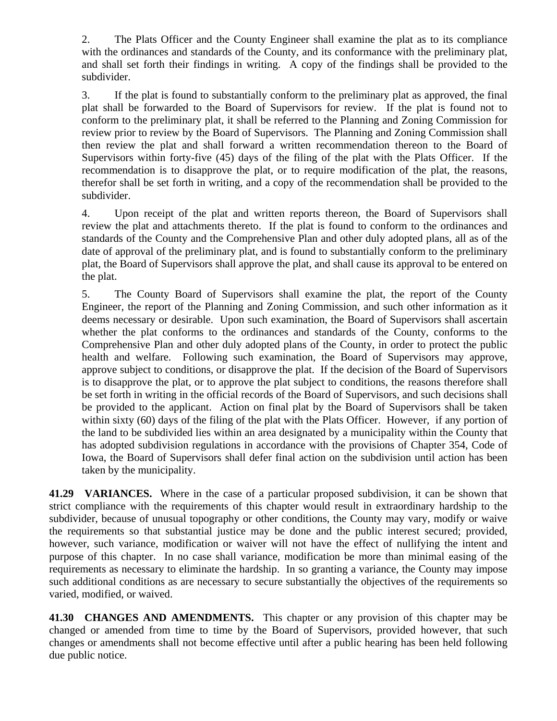2. The Plats Officer and the County Engineer shall examine the plat as to its compliance with the ordinances and standards of the County, and its conformance with the preliminary plat, and shall set forth their findings in writing. A copy of the findings shall be provided to the subdivider.

3. If the plat is found to substantially conform to the preliminary plat as approved, the final plat shall be forwarded to the Board of Supervisors for review. If the plat is found not to conform to the preliminary plat, it shall be referred to the Planning and Zoning Commission for review prior to review by the Board of Supervisors. The Planning and Zoning Commission shall then review the plat and shall forward a written recommendation thereon to the Board of Supervisors within forty-five (45) days of the filing of the plat with the Plats Officer. If the recommendation is to disapprove the plat, or to require modification of the plat, the reasons, therefor shall be set forth in writing, and a copy of the recommendation shall be provided to the subdivider.

4. Upon receipt of the plat and written reports thereon, the Board of Supervisors shall review the plat and attachments thereto. If the plat is found to conform to the ordinances and standards of the County and the Comprehensive Plan and other duly adopted plans, all as of the date of approval of the preliminary plat, and is found to substantially conform to the preliminary plat, the Board of Supervisors shall approve the plat, and shall cause its approval to be entered on the plat.

5. The County Board of Supervisors shall examine the plat, the report of the County Engineer, the report of the Planning and Zoning Commission, and such other information as it deems necessary or desirable. Upon such examination, the Board of Supervisors shall ascertain whether the plat conforms to the ordinances and standards of the County, conforms to the Comprehensive Plan and other duly adopted plans of the County, in order to protect the public health and welfare. Following such examination, the Board of Supervisors may approve, approve subject to conditions, or disapprove the plat. If the decision of the Board of Supervisors is to disapprove the plat, or to approve the plat subject to conditions, the reasons therefore shall be set forth in writing in the official records of the Board of Supervisors, and such decisions shall be provided to the applicant. Action on final plat by the Board of Supervisors shall be taken within sixty (60) days of the filing of the plat with the Plats Officer. However, if any portion of the land to be subdivided lies within an area designated by a municipality within the County that has adopted subdivision regulations in accordance with the provisions of Chapter 354, Code of Iowa, the Board of Supervisors shall defer final action on the subdivision until action has been taken by the municipality.

**41.29 VARIANCES.** Where in the case of a particular proposed subdivision, it can be shown that strict compliance with the requirements of this chapter would result in extraordinary hardship to the subdivider, because of unusual topography or other conditions, the County may vary, modify or waive the requirements so that substantial justice may be done and the public interest secured; provided, however, such variance, modification or waiver will not have the effect of nullifying the intent and purpose of this chapter. In no case shall variance, modification be more than minimal easing of the requirements as necessary to eliminate the hardship. In so granting a variance, the County may impose such additional conditions as are necessary to secure substantially the objectives of the requirements so varied, modified, or waived.

**41.30 CHANGES AND AMENDMENTS.** This chapter or any provision of this chapter may be changed or amended from time to time by the Board of Supervisors, provided however, that such changes or amendments shall not become effective until after a public hearing has been held following due public notice.